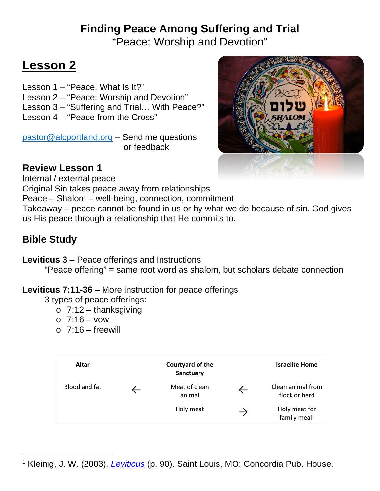# **Finding Peace Among Suffering and Trial**

"Peace: Worship and Devotion"

## **Lesson 2**

Lesson 1 – "Peace, What Is It?" Lesson 2 – "Peace: Worship and Devotion" Lesson 3 – "Suffering and Trial… With Peace?" Lesson 4 – "Peace from the Cross"

[pastor@alcportland.org](mailto:pastor@alcportland.org) – Send me questions or feedback



#### **Review Lesson 1**

Internal / external peace

Original Sin takes peace away from relationships

Peace – Shalom – well-being, connection, commitment

Takeaway – peace cannot be found in us or by what we do because of sin. God gives us His peace through a relationship that He commits to.

### **Bible Study**

**Leviticus 3** – Peace offerings and Instructions

"Peace offering" = same root word as shalom, but scholars debate connection

#### **Leviticus 7:11-36** – More instruction for peace offerings

- 3 types of peace offerings:
	- $\circ$  7:12 thanksgiving
	- o 7:16 vow
	- $\circ$  7:16 freewill

| Altar         | Courtyard of the<br>Sanctuary |               | <b>Israelite Home</b>                     |
|---------------|-------------------------------|---------------|-------------------------------------------|
| Blood and fat | Meat of clean<br>animal       |               | Clean animal from<br>flock or herd        |
|               | Holy meat                     | $\rightarrow$ | Holy meat for<br>family meal <sup>1</sup> |

<span id="page-0-0"></span><sup>1</sup> Kleinig, J. W. (2003). *[Leviticus](https://ref.ly/logosres/concom03le?ref=BibleBHS.Le3.1-17&off=22356&ctx=ible%2c+physical+way.%0a%7EAltar%0a%0aCourtyard+of+)* (p. 90). Saint Louis, MO: Concordia Pub. House.